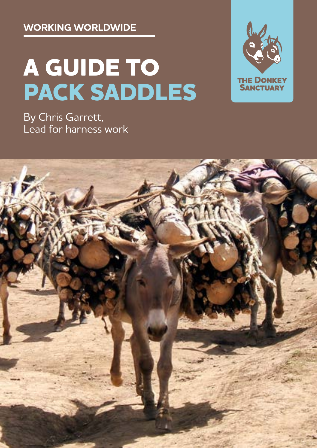**WORKING WORLDWIDE**

# **A GUIDE TO PACK SADDLES**

**THE DONKEY SANCTUARY** 

By Chris Garrett, Lead for harness work

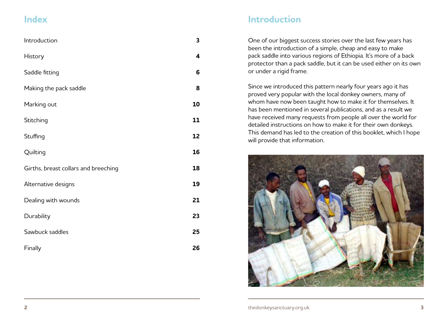| Introduction                         | 3  |
|--------------------------------------|----|
| <b>History</b>                       | 4  |
| Saddle fitting                       | 6  |
| Making the pack saddle               | 8  |
| Marking out                          | 10 |
| Stitching                            | 11 |
| Stuffing                             | 12 |
| Quilting                             | 16 |
| Girths, breast collars and breeching | 18 |
| Alternative designs                  | 19 |
| Dealing with wounds                  | 21 |
| Durability                           | 23 |
| Sawbuck saddles                      | 25 |
| Finally                              | 26 |

## **Index Introduction**

One of our biggest success stories over the last few years has been the introduction of a simple, cheap and easy to make pack saddle into various regions of Ethiopia. It's more of a back protector than a pack saddle, but it can be used either on its own or under a rigid frame.

Since we introduced this pattern nearly four years ago it has proved very popular with the local donkey owners, many of whom have now been taught how to make it for themselves. It has been mentioned in several publications, and as a result we have received many requests from people all over the world for detailed instructions on how to make it for their own donkeys. This demand has led to the creation of this booklet, which I hope will provide that information.

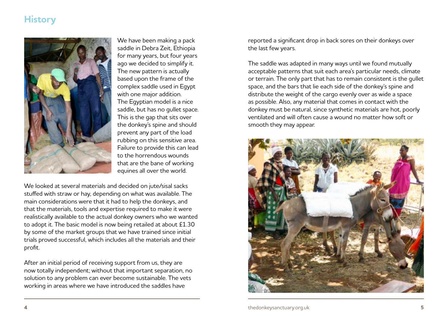## <span id="page-2-0"></span>**History**



We have been making a pack saddle in Debra Zeit, Ethiopia for many years, but four years ago we decided to simplify it. The new pattern is actually based upon the frame of the complex saddle used in Egypt with one major addition. The Egyptian model is a nice saddle, but has no gullet space. This is the gap that sits over the donkey's spine and should prevent any part of the load rubbing on this sensitive area. Failure to provide this can lead to the horrendous wounds that are the bane of working equines all over the world.

We looked at several materials and decided on jute/sisal sacks stuffed with straw or hay, depending on what was available. The main considerations were that it had to help the donkeys, and that the materials, tools and expertise required to make it were realistically available to the actual donkey owners who we wanted to adopt it. The basic model is now being retailed at about £1.30 by some of the market groups that we have trained since initial trials proved successful, which includes all the materials and their profit.

After an initial period of receiving support from us, they are now totally independent; without that important separation, no solution to any problem can ever become sustainable. The vets working in areas where we have introduced the saddles have

reported a significant drop in back sores on their donkeys over the last few years.

The saddle was adapted in many ways until we found mutually acceptable patterns that suit each area's particular needs, climate or terrain. The only part that has to remain consistent is the gullet space, and the bars that lie each side of the donkey's spine and distribute the weight of the cargo evenly over as wide a space as possible. Also, any material that comes in contact with the donkey must be natural, since synthetic materials are hot, poorly ventilated and will often cause a wound no matter how soft or smooth they may appear.

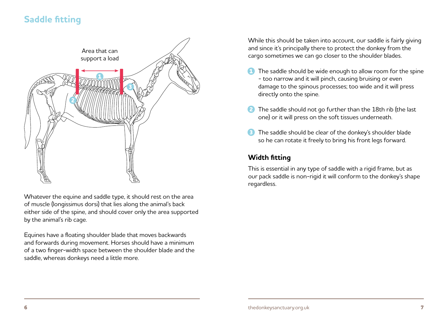## <span id="page-3-0"></span>**Saddle fitting**



Whatever the equine and saddle type, it should rest on the area of muscle (longissimus dorsi) that lies along the animal's back either side of the spine, and should cover only the area supported by the animal's rib cage.

Equines have a floating shoulder blade that moves backwards and forwards during movement. Horses should have a minimum of a two finger-width space between the shoulder blade and the saddle, whereas donkeys need a little more.

While this should be taken into account, our saddle is fairly giving and since it's principally there to protect the donkey from the cargo sometimes we can go closer to the shoulder blades.

- The saddle should be wide enough to allow room for the spine - too narrow and it will pinch, causing bruising or even damage to the spinous processes; too wide and it will press directly onto the spine.
- **2** The saddle should not go further than the 18th rib (the last one) or it will press on the soft tissues underneath.
- **B** The saddle should be clear of the donkey's shoulder blade so he can rotate it freely to bring his front legs forward.

#### **Width fitting**

This is essential in any type of saddle with a rigid frame, but as our pack saddle is non-rigid it will conform to the donkey's shape regardless.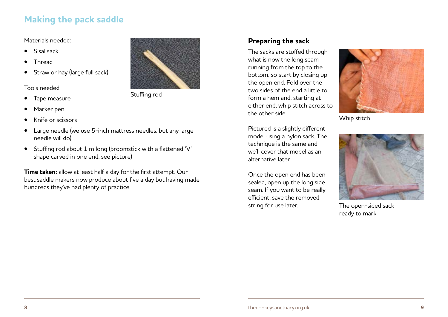## <span id="page-4-0"></span>**Making the pack saddle**

#### Materials needed:

- Sisal sack
- Thread
- Straw or hay (large full sack)

Tools needed:

- Tape measure
- Marker pen
- Knife or scissors
- Large needle (we use 5-inch mattress needles, but any large needle will do)
- Stuffing rod about 1 m long (broomstick with a flattened 'V' shape carved in one end, see picture)

**Time taken:** allow at least half a day for the first attempt. Our best saddle makers now produce about five a day but having made hundreds they've had plenty of practice.



Stuffing rod

#### **Preparing the sack**

The sacks are stuffed through what is now the long seam running from the top to the bottom, so start by closing up the open end. Fold over the two sides of the end a little to form a hem and, starting at either end, whip stitch across to the other side.



Whip stitch

Pictured is a slightly different model using a nylon sack. The technique is the same and we'll cover that model as an alternative later.

Once the open end has been sealed, open up the long side seam. If you want to be really efficient, save the removed string for use later.



The open-sided sack ready to mark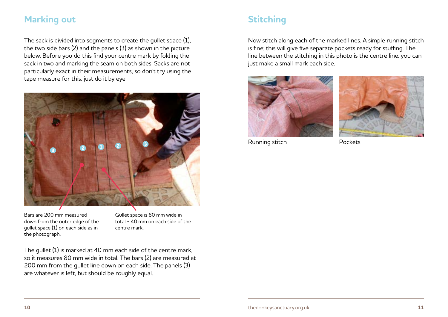### <span id="page-5-0"></span>**Marking out**

The sack is divided into segments to create the gullet space (1), the two side bars (2) and the panels (3) as shown in the picture below. Before you do this find your centre mark by folding the sack in two and marking the seam on both sides. Sacks are not particularly exact in their measurements, so don't try using the tape measure for this, just do it by eye.



Bars are 200 mm measured down from the outer edge of the gullet space (1) on each side as in the photograph.

Gullet space is 80 mm wide in total - 40 mm on each side of the centre mark.

The gullet (1) is marked at 40 mm each side of the centre mark, so it measures 80 mm wide in total. The bars (2) are measured at 200 mm from the gullet line down on each side. The panels (3) are whatever is left, but should be roughly equal.

## **Stitching**

Now stitch along each of the marked lines. A simple running stitch is fine; this will give five separate pockets ready for stuffing. The line between the stitching in this photo is the centre line; you can just make a small mark each side.





Running stitch Pockets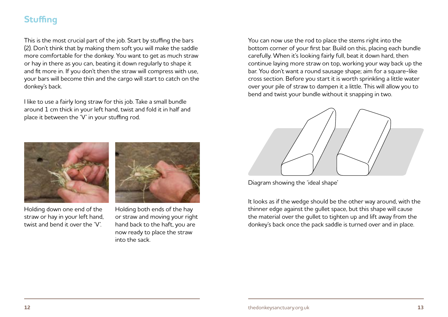## <span id="page-6-0"></span>**Stuffing**

This is the most crucial part of the job. Start by stuffing the bars (2). Don't think that by making them soft you will make the saddle more comfortable for the donkey. You want to get as much straw or hay in there as you can, beating it down regularly to shape it and fit more in. If you don't then the straw will compress with use, your bars will become thin and the cargo will start to catch on the donkey's back.

I like to use a fairly long straw for this job. Take a small bundle around 1 cm thick in your left hand, twist and fold it in half and place it between the 'V' in your stuffing rod.



Holding down one end of the straw or hay in your left hand, twist and bend it over the 'V'.



Holding both ends of the hay or straw and moving your right hand back to the haft, you are now ready to place the straw into the sack.

You can now use the rod to place the stems right into the bottom corner of your first bar. Build on this, placing each bundle carefully. When it's looking fairly full, beat it down hard, then continue laying more straw on top, working your way back up the bar. You don't want a round sausage shape; aim for a square-like cross section. Before you start it is worth sprinkling a little water over your pile of straw to dampen it a little. This will allow you to bend and twist your bundle without it snapping in two.



Diagram showing the 'ideal shape'

It looks as if the wedge should be the other way around, with the thinner edge against the gullet space, but this shape will cause the material over the gullet to tighten up and lift away from the donkey's back once the pack saddle is turned over and in place.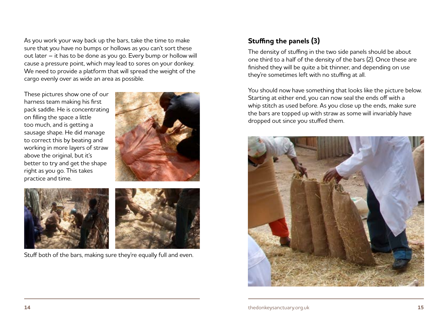As you work your way back up the bars, take the time to make sure that you have no bumps or hollows as you can't sort these out later – it has to be done as you go. Every bump or hollow will cause a pressure point, which may lead to sores on your donkey. We need to provide a platform that will spread the weight of the cargo evenly over as wide an area as possible.

These pictures show one of our harness team making his first pack saddle. He is concentrating on filling the space a little too much, and is getting a sausage shape. He did manage to correct this by beating and working in more layers of straw above the original, but it's better to try and get the shape right as you go. This takes practice and time.







Stuff both of the bars, making sure they're equally full and even.

#### **Stuffing the panels (3)**

The density of stuffing in the two side panels should be about one third to a half of the density of the bars (2). Once these are finished they will be quite a bit thinner, and depending on use they're sometimes left with no stuffing at all.

You should now have something that looks like the picture below. Starting at either end, you can now seal the ends off with a whip stitch as used before. As you close up the ends, make sure the bars are topped up with straw as some will invariably have dropped out since you stuffed them.

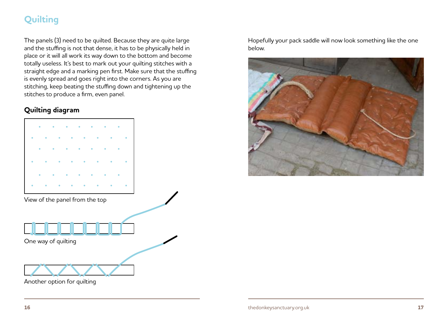## <span id="page-8-0"></span>**Quilting**

The panels (3) need to be quilted. Because they are quite large and the stuffing is not that dense, it has to be physically held in place or it will all work its way down to the bottom and become totally useless. It's best to mark out your quilting stitches with a straight edge and a marking pen first. Make sure that the stuffing is evenly spread and goes right into the corners. As you are stitching, keep beating the stuffing down and tightening up the stitches to produce a firm, even panel.

#### **Quilting diagram**



Another option for quilting

Hopefully your pack saddle will now look something like the one below.

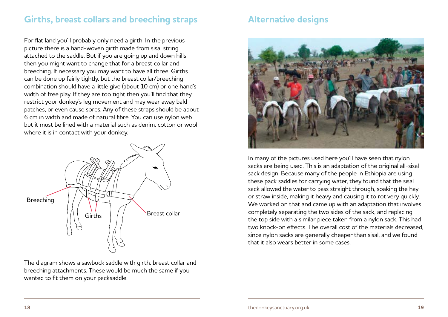### <span id="page-9-0"></span>**Girths, breast collars and breeching straps Alternative designs**

For flat land you'll probably only need a girth. In the previous picture there is a hand-woven girth made from sisal string attached to the saddle. But if you are going up and down hills then you might want to change that for a breast collar and breeching. If necessary you may want to have all three. Girths can be done up fairly tightly, but the breast collar/breeching combination should have a little give (about 10 cm) or one hand's width of free play. If they are too tight then you'll find that they restrict your donkey's leg movement and may wear away bald patches, or even cause sores. Any of these straps should be about 6 cm in width and made of natural fibre. You can use nylon web but it must be lined with a material such as denim, cotton or wool where it is in contact with your donkey.



The diagram shows a sawbuck saddle with girth, breast collar and breeching attachments. These would be much the same if you wanted to fit them on your packsaddle.



In many of the pictures used here you'll have seen that nylon sacks are being used. This is an adaptation of the original all-sisal sack design. Because many of the people in Ethiopia are using these pack saddles for carrying water, they found that the sisal sack allowed the water to pass straight through, soaking the hay or straw inside, making it heavy and causing it to rot very quickly. We worked on that and came up with an adaptation that involves completely separating the two sides of the sack, and replacing the top side with a similar piece taken from a nylon sack. This had two knock-on effects. The overall cost of the materials decreased, since nylon sacks are generally cheaper than sisal, and we found that it also wears better in some cases.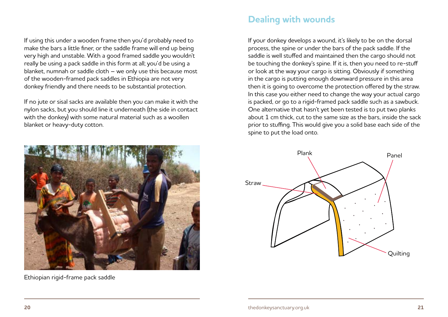<span id="page-10-0"></span>If using this under a wooden frame then you'd probably need to make the bars a little finer, or the saddle frame will end up being very high and unstable. With a good framed saddle you wouldn't really be using a pack saddle in this form at all; you'd be using a blanket, numnah or saddle cloth – we only use this because most of the wooden-framed pack saddles in Ethiopia are not very donkey friendly and there needs to be substantial protection.

If no jute or sisal sacks are available then you can make it with the nylon sacks, but you should line it underneath (the side in contact with the donkey) with some natural material such as a woollen blanket or heavy-duty cotton.



Ethiopian rigid-frame pack saddle

#### **Dealing with wounds**

If your donkey develops a wound, it's likely to be on the dorsal process, the spine or under the bars of the pack saddle. If the saddle is well stuffed and maintained then the cargo should not be touching the donkey's spine. If it is, then you need to re-stuff or look at the way your cargo is sitting. Obviously if something in the cargo is putting enough downward pressure in this area then it is going to overcome the protection offered by the straw. In this case you either need to change the way your actual cargo is packed, or go to a rigid-framed pack saddle such as a sawbuck. One alternative that hasn't yet been tested is to put two planks about 1 cm thick, cut to the same size as the bars, inside the sack prior to stuffing. This would give you a solid base each side of the spine to put the load onto.

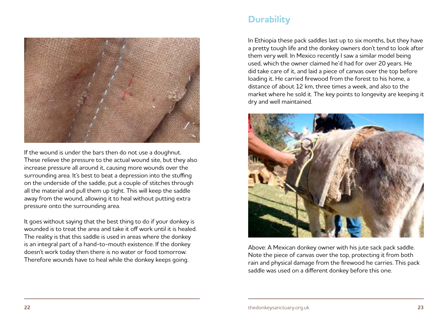<span id="page-11-0"></span>

If the wound is under the bars then do not use a doughnut. These relieve the pressure to the actual wound site, but they also increase pressure all around it, causing more wounds over the surrounding area. It's best to beat a depression into the stuffing on the underside of the saddle, put a couple of stitches through all the material and pull them up tight. This will keep the saddle away from the wound, allowing it to heal without putting extra pressure onto the surrounding area.

It goes without saying that the best thing to do if your donkey is wounded is to treat the area and take it off work until it is healed. The reality is that this saddle is used in areas where the donkey is an integral part of a hand-to-mouth existence. If the donkey doesn't work today then there is no water or food tomorrow. Therefore wounds have to heal while the donkey keeps going.

## **Durability**

In Ethiopia these pack saddles last up to six months, but they have a pretty tough life and the donkey owners don't tend to look after them very well. In Mexico recently I saw a similar model being used, which the owner claimed he'd had for over 20 years. He did take care of it, and laid a piece of canvas over the top before loading it. He carried firewood from the forest to his home, a distance of about 12 km, three times a week, and also to the market where he sold it. The key points to longevity are keeping it dry and well maintained.



Above: A Mexican donkey owner with his jute sack pack saddle. Note the piece of canvas over the top, protecting it from both rain and physical damage from the firewood he carries. This pack saddle was used on a different donkey before this one.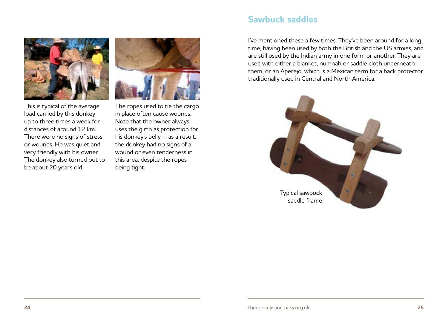<span id="page-12-0"></span>

This is typical of the average load carried by this donkey up to three times a week for distances of around 12 km. There were no signs of stress or wounds. He was quiet and very friendly with his owner. The donkey also turned out to be about 20 years old.

The ropes used to tie the cargo in place often cause wounds. Note that the owner always uses the girth as protection for his donkey's belly – as a result, the donkey had no signs of a wound or even tenderness in this area, despite the ropes being tight.

#### **Sawbuck saddles**

I've mentioned these a few times. They've been around for a long time, having been used by both the British and the US armies, and are still used by the Indian army in one form or another. They are used with either a blanket, numnah or saddle cloth underneath them, or an Aperejo, which is a Mexican term for a back protector traditionally used in Central and North America.

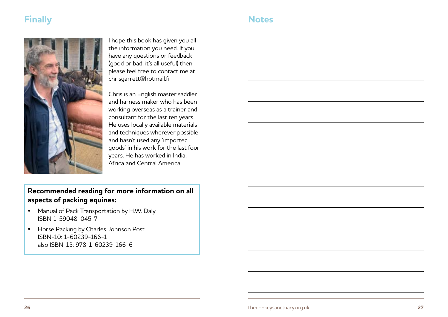## <span id="page-13-0"></span>**Finally Notes**



I hope this book has given you all the information you need. If you have any questions or feedback (good or bad, it's all useful) then please feel free to contact me at [chrisgarrett@hotmail.fr](mailto:chrisgarrett%40hotmail.fr?subject=Pack%20Saddle)

Chris is an English master saddler and harness maker who has been working overseas as a trainer and consultant for the last ten years. He uses locally available materials and techniques wherever possible and hasn't used any 'imported goods' in his work for the last four years. He has worked in India, Africa and Central America.

#### **Recommended reading for more information on all aspects of packing equines:**

- Manual of Pack Transportation by H.W. Daly ISBN 1-59048-045-7
- Horse Packing by Charles Johnson Post ISBN-10: 1-60239-166-1 also ISBN-13: 978-1-60239-166-6